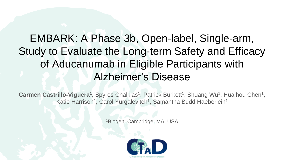# EMBARK: A Phase 3b, Open-label, Single-arm, Study to Evaluate the Long-term Safety and Efficacy of Aducanumab in Eligible Participants with Alzheimer's Disease

Carmen Castrillo-Viguera<sup>1</sup>, Spyros Chalkias<sup>1</sup>, Patrick Burkett<sup>1</sup>, Shuang Wu<sup>1</sup>, Huaihou Chen<sup>1</sup>, Katie Harrison<sup>1</sup>, Carol Yurgalevitch<sup>1</sup>, Samantha Budd Haeberlein<sup>1</sup>

1Biogen, Cambridge, MA, USA

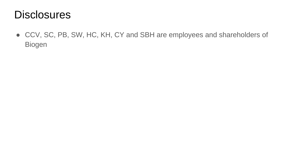# **Disclosures**

● CCV, SC, PB, SW, HC, KH, CY and SBH are employees and shareholders of Biogen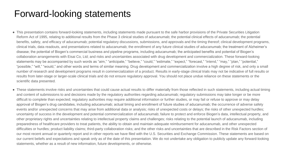#### Forward-looking statements

- This presentation contains forward-looking statements, including statements made pursuant to the safe harbor provisions of the Private Securities Litigation Reform Act of 1995, relating to additional results from the Phase 3 clinical studies of aducanumab; the potential clinical effects of aducanumab; the potential benefits, safety, and efficacy of aducanumab; potential regulatory discussions, submissions, and approvals and the timing thereof; clinical development programs, clinical trials, data readouts, and presentations related to aducanumab; the enrollment of any future clinical studies of aducanumab; the treatment of Alzheimer's disease; the potential of Biogen's commercial business and pipeline programs, including aducanumab; the anticipated benefits and potential of Biogen's collaboration arrangements with Eisai Co, Ltd; and risks and uncertainties associated with drug development and commercialization. These forward-looking statements may be accompanied by such words as "aim," "anticipate," "believe," "could," "estimate," "expect," "forecast," "intend," "may," "plan," "potential," "possible," "will," "would," and other words and terms of similar meaning. Drug development and commercialization involve a high degree of risk, and only a small number of research and development programs result in commercialization of a product. Results in early-stage clinical trials may not be indicative of full results or results from later-stage or larger-scale clinical trials and do not ensure regulatory approval. You should not place undue reliance on these statements or the scientific data presented.
- These statements involve risks and uncertainties that could cause actual results to differ materially from those reflected in such statements, including actual timing and content of submissions to and decisions made by the regulatory authorities regarding aducanumab; regulatory submissions may take longer or be more difficult to complete than expected; regulatory authorities may require additional information or further studies, or may fail or refuse to approve or may delay approval of Biogen's drug candidates, including aducanumab; actual timing and enrollment of future studies of aducanumab; the occurrence of adverse safety events and/or unexpected concerns that may arise from additional data or analysis; risks of unexpected costs or delays; the risks of other unexpected hurdles; uncertainty of success in the development and potential commercialization of aducanumab; failure to protect and enforce Biogen's data, intellectual property, and other proprietary rights and uncertainties relating to intellectual property claims and challenges; risks relating to the potential launch of aducanumab, including preparedness of healthcare providers to treat patients, the ability to obtain and maintain adequate reimbursement for aducanumab, and other unexpected difficulties or hurdles; product liability claims; third-party collaboration risks; and the other risks and uncertainties that are described in the Risk Factors section of our most recent annual or quarterly report and in other reports we have filed with the U.S. Securities and Exchange Commission. These statements are based on our current beliefs and expectations and speak only as of the date of this presentation. We do not undertake any obligation to publicly update any forward-looking statements, whether as a result of new information, future developments, or otherwise.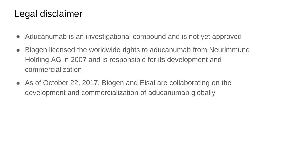## Legal disclaimer

- Aducanumab is an investigational compound and is not yet approved
- Biogen licensed the worldwide rights to aducanumab from Neurimmune Holding AG in 2007 and is responsible for its development and commercialization
- As of October 22, 2017, Biogen and Eisai are collaborating on the development and commercialization of aducanumab globally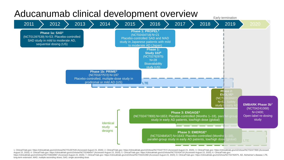

1. ClinicalTrials.gov: https://clinicaltrials.gov/ct2/show//NCT01397539 (Accessed August 23, 2020); 2. ClinicalTrials.gov: https://clinicaltrials.gov/ct2/show//NCT01677572 (Accessed August 23, 2020); 3. ClinicalTrials.gov: n university in the information of the control of the control of the control of the control of the control of the control of the control of the control of the control of the control of the control of the control of the con https://clinicaltrials.gov/ct2/show//NCT03639987 (Accessed August 23, 2020); 7. ClinicalTrials.gov: https://clinicaltrials.gov/ct2/show//NCT04241068 (Accessed August 23, 2020); 8. ClinicalTrials.gov/ct2/show//NCT04241068 ( long-term extension; MAD, multiple ascending doses; SAD, single ascending dose.

#### Aducanumab clinical development overview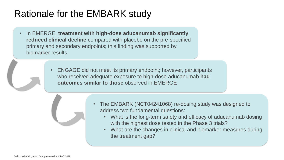#### Rationale for the EMBARK study

- In EMERGE, **treatment with high-dose aducanumab significantly reduced clinical decline** compared with placebo on the pre-specified primary and secondary endpoints; this finding was supported by biomarker results
	- ENGAGE did not meet its primary endpoint; however, participants who received adequate exposure to high-dose aducanumab **had outcomes similar to those** observed in EMERGE
		- The EMBARK (NCT04241068) re-dosing study was designed to address two fundamental questions:
			- What is the long-term safety and efficacy of aducanumab dosing with the highest dose tested in the Phase 3 trials?
			- What are the changes in clinical and biomarker measures during the treatment gap?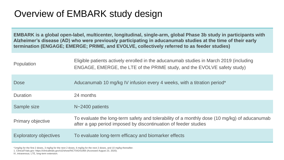## Overview of EMBARK study design

**EMBARK is a global open-label, multicenter, longitudinal, single-arm, global Phase 3b study in participants with Alzheimer's disease (AD) who were previously participating in aducanumab studies at the time of their early termination (ENGAGE; EMERGE; PRIME, and EVOLVE, collectively referred to as feeder studies)** 

| <b>Population</b>             | Eligible patients actively enrolled in the aducanumab studies in March 2019 (including<br>ENGAGE, EMERGE, the LTE of the PRIME study, and the EVOLVE safety study) |
|-------------------------------|--------------------------------------------------------------------------------------------------------------------------------------------------------------------|
| <b>Dose</b>                   | Aducanumab 10 mg/kg IV infusion every 4 weeks, with a titration period*                                                                                            |
| <b>Duration</b>               | 24 months                                                                                                                                                          |
| Sample size                   | $N$ ~2400 patients                                                                                                                                                 |
| <b>Primary objective</b>      | To evaluate the long-term safety and tolerability of a monthly dose (10 mg/kg) of aducanumab<br>after a gap period imposed by discontinuation of feeder studies    |
| <b>Exploratory objectives</b> | To evaluate long-term efficacy and biomarker effects                                                                                                               |

\*1mg/kg for the first 2 doses, 3 mg/kg for the next 2 doses, 6 mg/kg for the next 2 doses, and 10 mg/kg thereafter.

1. ClinicalTrials.gov: https://clinicaltrials.gov/ct2/show//NCT04241068 (Accessed August 23, 2020).

IV, intravenous; LTE, long-term extension.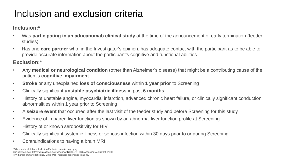## Inclusion and exclusion criteria

#### **Inclusion:\***

- Was **participating in an aducanumab clinical study** at the time of the announcement of early termination (feeder studies)
- Has one **care partner** who, in the Investigator's opinion, has adequate contact with the participant as to be able to provide accurate information about the participant's cognitive and functional abilities

#### **Exclusion:\***

- Any **medical or neurological condition** (other than Alzheimer's disease) that might be a contributing cause of the patient's **cognitive impairment**
- **Stroke** or any unexplained **loss of consciousness** within **1 year prior** to Screening
- Clinically significant **unstable psychiatric illness** in past **6 months**
- History of unstable angina, myocardial infarction, advanced chronic heart failure, or clinically significant conduction abnormalities within 1 year prior to Screening
- A **seizure event** that occurred after the last visit of the feeder study and before Screening for this study
- Evidence of impaired liver function as shown by an abnormal liver function profile at Screening
- History of or known seropositivity for HIV
- Clinically significant systemic illness or serious infection within 30 days prior to or during Screening
- Contraindications to having a brain MRI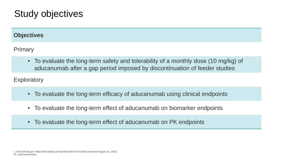## Study objectives

#### **Objectives**

Primary

• To evaluate the long-term safety and tolerability of a monthly dose (10 mg/kg) of aducanumab after a gap period imposed by discontinuation of feeder studies

**Exploratory** 

- To evaluate the long-term efficacy of aducanumab using clinical endpoints
- To evaluate the long-term effect of aducanumab on biomarker endpoints
- To evaluate the long-term effect of aducanumab on PK endpoints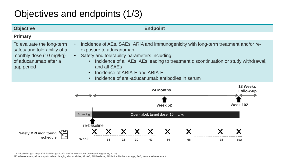## Objectives and endpoints (1/3)

| <b>Objective</b>                                                                                                            | <b>Endpoint</b>                                                                                                                                                                                                                                                                                                                                             |  |  |
|-----------------------------------------------------------------------------------------------------------------------------|-------------------------------------------------------------------------------------------------------------------------------------------------------------------------------------------------------------------------------------------------------------------------------------------------------------------------------------------------------------|--|--|
| <b>Primary</b>                                                                                                              |                                                                                                                                                                                                                                                                                                                                                             |  |  |
| To evaluate the long-term<br>safety and tolerability of a<br>monthly dose (10 mg/kg)<br>of aducanumab after a<br>gap period | Incidence of AEs, SAEs, ARIA and immunogenicity with long-term treatment and/or re-<br>exposure to aducanumab<br>Safety and tolerability parameters including:<br>Incidence of all AEs; AEs leading to treatment discontinuation or study withdrawal,<br>and all SAEs<br>Incidence of ARIA-E and ARIA-H<br>Incidence of anti-aducanumab antibodies in serum |  |  |
|                                                                                                                             | <b>18 Weeks</b><br><b>24 Months</b><br><b>Follow-up</b>                                                                                                                                                                                                                                                                                                     |  |  |



1. ClinicalTrials.gov: https://clinicaltrials.gov/ct2/show//NCT04241068 (Accessed August 23, 2020).

AE, adverse event; ARIA, amyloid related imaging abnormalities; ARIA-E, ARIA-edema, ARIA-H, ARIA-hemorrhage; SAE, serious adverse event.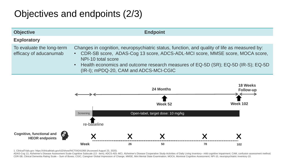## Objectives and endpoints (2/3)

| <b>Objective</b>                                    | <b>Endpoint</b>                                                                                                                                                                                                                                                                                                                     |  |  |
|-----------------------------------------------------|-------------------------------------------------------------------------------------------------------------------------------------------------------------------------------------------------------------------------------------------------------------------------------------------------------------------------------------|--|--|
| <b>Exploratory</b>                                  |                                                                                                                                                                                                                                                                                                                                     |  |  |
| To evaluate the long-term<br>efficacy of aducanumab | Changes in cognition, neuropsychiatric status, function, and quality of life as measured by:<br>• CDR-SB score, ADAS-Cog 13 score, ADCS-ADL-MCI score, MMSE score, MOCA score,<br>NPI-10 total score<br>Health economics and outcome research measures of EQ-5D (SR); EQ-5D (IR-S); EQ-5D<br>(IR-I); mPDQ-20, CAM and ADCS-MCI-CGIC |  |  |



1. ClinicalTrials.gov: https://clinicaltrials.gov/ct2/show//NCT04241068 (Accessed August 23, 2020).

ADAS-Cog 13, Alzheimer's Disease Assessment Scale-Cognitive Subscale (13 - item); ADCS-ADL-MCI, Alzheimer's Disease Cooperative Study-Activities of Daily Living Inventory- mild cognitive impairment; CAM, confusion assessme CDR-SB, Clinical Dementia Rating Scale – Sum of Boxes; CGIC, Caregiver Global Impression of Change; MMSE, Mini Mental State Examination; MOCA, Montreal Cognitive Assessment; NPI-10, neuropsychiatric inventory-10.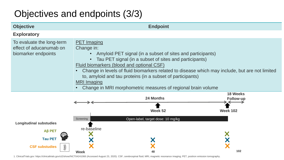## Objectives and endpoints (3/3)

**Tau PET** 

EPPPERE

**CSF substudies**

| <b>Objective</b>                                                            | <b>Endpoint</b>                                                                                                                                                                                                                                                                                                                                                                                                                                             |                                   |                                     |  |  |
|-----------------------------------------------------------------------------|-------------------------------------------------------------------------------------------------------------------------------------------------------------------------------------------------------------------------------------------------------------------------------------------------------------------------------------------------------------------------------------------------------------------------------------------------------------|-----------------------------------|-------------------------------------|--|--|
| <b>Exploratory</b>                                                          |                                                                                                                                                                                                                                                                                                                                                                                                                                                             |                                   |                                     |  |  |
| To evaluate the long-term<br>effect of aducanumab on<br>biomarker endpoints | <b>PET Imaging</b><br>Change in:<br>Amyloid PET signal (in a subset of sites and participants)<br>Tau PET signal (in a subset of sites and participants)<br>Fluid biomarkers (blood and optional CSF)<br>Change in levels of fluid biomarkers related to disease which may include, but are not limited<br>to, amyloid and tau proteins (in a subset of participants)<br><b>MRI Imaging</b><br>Change in MRI morphometric measures of regional brain volume |                                   |                                     |  |  |
|                                                                             |                                                                                                                                                                                                                                                                                                                                                                                                                                                             | 24 Months                         | <b>18 Weeks</b><br><b>Follow-up</b> |  |  |
|                                                                             | Screening                                                                                                                                                                                                                                                                                                                                                                                                                                                   | Week 52                           | <b>Week 102</b>                     |  |  |
| <b>Longitudinal substudies</b>                                              |                                                                                                                                                                                                                                                                                                                                                                                                                                                             | Open-label, target dose: 10 mg/kg |                                     |  |  |
| Aβ PET                                                                      | re-baseline<br>$\sim$                                                                                                                                                                                                                                                                                                                                                                                                                                       |                                   | $\sim$                              |  |  |

X

**102**

1. ClinicalTrials.gov: https://clinicaltrials.gov/ct2/show//NCT04241068 (Accessed August 23, 2020). CSF, cerebrospinal fluid; MRI, magnetic resonance imaging; PET, positron emission tomography.

**Week 48**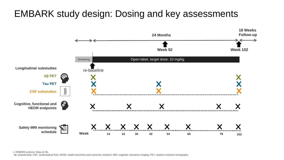## EMBARK study design: Dosing and key assessments



1. EMBARK protocol. Data on file.

Aβ, amyloid beta; CSF, cerebrospinal fluid; HEOR, health economics and outcomes research; MRI, magnetic resonance imaging; PET, positron emission tomography.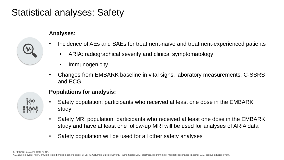## Statistical analyses: Safety

**Analyses:** 

- Incidence of AEs and SAEs for treatment-naïve and treatment-experienced patients
	- ARIA: radiographical severity and clinical symptomatology
	- Immunogenicity
- Changes from EMBARK baseline in vital signs, laboratory measurements, C-SSRS and ECG

#### **Populations for analysis:**

- Safety population: participants who received at least one dose in the EMBARK study
- Safety MRI population: participants who received at least one dose in the EMBARK study and have at least one follow-up MRI will be used for analyses of ARIA data
- Safety population will be used for all other safety analyses

1. EMBARK protocol. Data on file.

AE, adverse event; ARIA, amyloid-related imaging abnormalities; C-SSRS, Columbia Suicide Severity Rating Scale; ECG; electrocardiogram; MRI, magnetic resonance imaging; SAE, serious adverse event.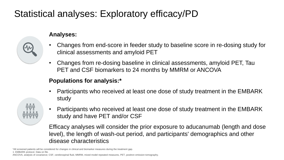## Statistical analyses: Exploratory efficacy/PD

#### **Analyses:**



- Changes from end-score in feeder study to baseline score in re-dosing study for clinical assessments and amyloid PET
- Changes from re-dosing baseline in clinical assessments, amyloid PET, Tau PET and CSF biomarkers to 24 months by MMRM or ANCOVA

#### **Populations for analysis:\***

• Participants who received at least one dose of study treatment in the EMBARK study



• Participants who received at least one dose of study treatment in the EMBARK study and have PET and/or CSF

Efficacy analyses will consider the prior exposure to aducanumab (length and dose level), the length of wash-out period, and participants' demographics and other disease characteristics

\*All screened patients will be considered for changes in clinical and biomarker measures during the treatment gap.

1. EMBARK protocol. Data on file.

ANCOVA, analysis of covariance; CSF, cerebrospinal fluid, MMRM, mixed model repeated measures, PET, positron emission tomography.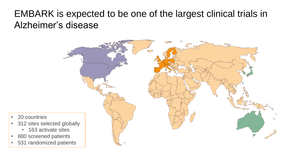## EMBARK is expected to be one of the largest clinical trials in Alzheimer's disease

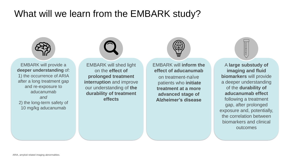#### What will we learn from the EMBARK study?



EMBARK will provide a **deeper understanding** of: 1) the occurrence of ARIA after a long treatment gap and re-exposure to aducanumab *and* 2) the long-term safety of 10 mg/kg aducanumab

EMBARK will shed light on the **effect of prolonged treatment interruption** and improve our understanding of **the durability of treatment effects**

EMBARK will **inform the effect of aducanumab**  on treatment-naïve patients who **initiate treatment at a more advanced stage of Alzheimer's disease**

A **large substudy of imaging and fluid biomarkers** will provide a deeper understanding of the **durability of aducanumab effect**  following a treatment gap, after prolonged exposure and, potentially, the correlation between biomarkers and clinical outcomes

**THERE**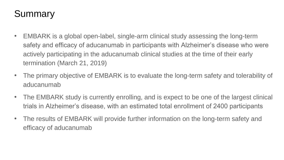## Summary

- EMBARK is a global open-label, single-arm clinical study assessing the long-term safety and efficacy of aducanumab in participants with Alzheimer's disease who were actively participating in the aducanumab clinical studies at the time of their early termination (March 21, 2019)
- The primary objective of EMBARK is to evaluate the long-term safety and tolerability of aducanumab
- The EMBARK study is currently enrolling, and is expect to be one of the largest clinical trials in Alzheimer's disease, with an estimated total enrollment of 2400 participants
- The results of EMBARK will provide further information on the long-term safety and efficacy of aducanumab